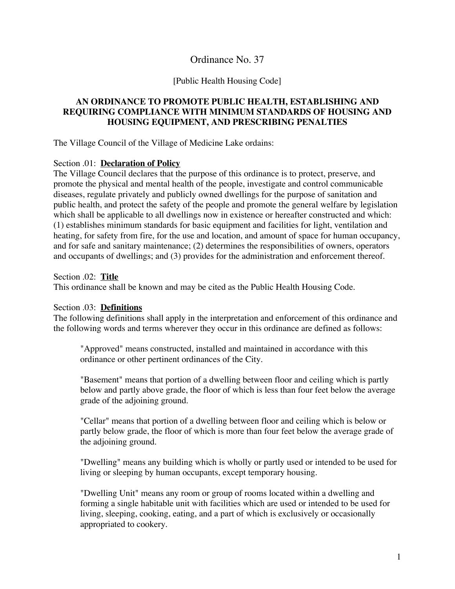## Ordinance No. 37

#### [Public Health Housing Code]

### **AN ORDINANCE TO PROMOTE PUBLIC HEALTH, ESTABLISHING AND REQUIRING COMPLIANCE WITH MINIMUM STANDARDS OF HOUSING AND HOUSING EQUIPMENT, AND PRESCRIBING PENALTIES**

The Village Council of the Village of Medicine Lake ordains:

#### Section .01: **Declaration of Policy**

The Village Council declares that the purpose of this ordinance is to protect, preserve, and promote the physical and mental health of the people, investigate and control communicable diseases, regulate privately and publicly owned dwellings for the purpose of sanitation and public health, and protect the safety of the people and promote the general welfare by legislation which shall be applicable to all dwellings now in existence or hereafter constructed and which: (1) establishes minimum standards for basic equipment and facilities for light, ventilation and heating, for safety from fire, for the use and location, and amount of space for human occupancy, and for safe and sanitary maintenance; (2) determines the responsibilities of owners, operators and occupants of dwellings; and (3) provides for the administration and enforcement thereof.

Section .02: **Title**

This ordinance shall be known and may be cited as the Public Health Housing Code.

#### Section .03: **Definitions**

The following definitions shall apply in the interpretation and enforcement of this ordinance and the following words and terms wherever they occur in this ordinance are defined as follows:

"Approved" means constructed, installed and maintained in accordance with this ordinance or other pertinent ordinances of the City.

"Basement" means that portion of a dwelling between floor and ceiling which is partly below and partly above grade, the floor of which is less than four feet below the average grade of the adjoining ground.

"Cellar" means that portion of a dwelling between floor and ceiling which is below or partly below grade, the floor of which is more than four feet below the average grade of the adjoining ground.

"Dwelling" means any building which is wholly or partly used or intended to be used for living or sleeping by human occupants, except temporary housing.

"Dwelling Unit" means any room or group of rooms located within a dwelling and forming a single habitable unit with facilities which are used or intended to be used for living, sleeping, cooking, eating, and a part of which is exclusively or occasionally appropriated to cookery.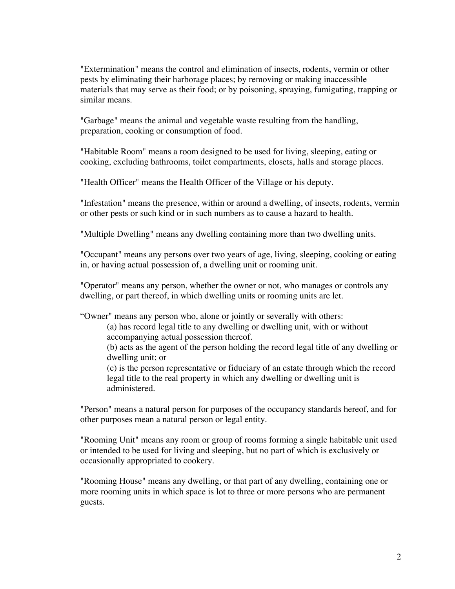"Extermination" means the control and elimination of insects, rodents, vermin or other pests by eliminating their harborage places; by removing or making inaccessible materials that may serve as their food; or by poisoning, spraying, fumigating, trapping or similar means.

"Garbage" means the animal and vegetable waste resulting from the handling, preparation, cooking or consumption of food.

"Habitable Room" means a room designed to be used for living, sleeping, eating or cooking, excluding bathrooms, toilet compartments, closets, halls and storage places.

"Health Officer" means the Health Officer of the Village or his deputy.

"Infestation" means the presence, within or around a dwelling, of insects, rodents, vermin or other pests or such kind or in such numbers as to cause a hazard to health.

"Multiple Dwelling" means any dwelling containing more than two dwelling units.

"Occupant" means any persons over two years of age, living, sleeping, cooking or eating in, or having actual possession of, a dwelling unit or rooming unit.

"Operator" means any person, whether the owner or not, who manages or controls any dwelling, or part thereof, in which dwelling units or rooming units are let.

"Owner" means any person who, alone or jointly or severally with others:

(a) has record legal title to any dwelling or dwelling unit, with or without accompanying actual possession thereof.

(b) acts as the agent of the person holding the record legal title of any dwelling or dwelling unit; or

(c) is the person representative or fiduciary of an estate through which the record legal title to the real property in which any dwelling or dwelling unit is administered.

"Person" means a natural person for purposes of the occupancy standards hereof, and for other purposes mean a natural person or legal entity.

"Rooming Unit" means any room or group of rooms forming a single habitable unit used or intended to be used for living and sleeping, but no part of which is exclusively or occasionally appropriated to cookery.

"Rooming House" means any dwelling, or that part of any dwelling, containing one or more rooming units in which space is lot to three or more persons who are permanent guests.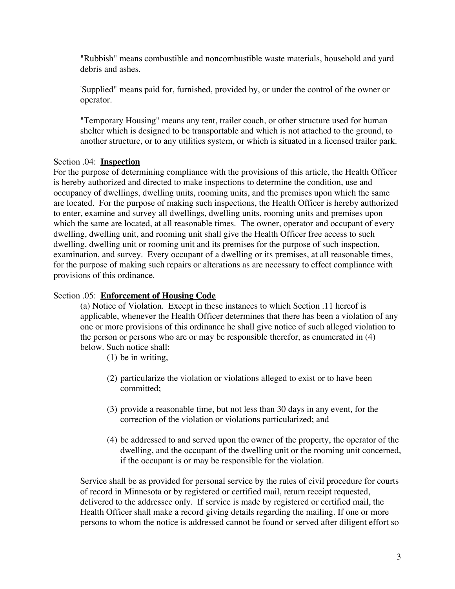"Rubbish" means combustible and noncombustible waste materials, household and yard debris and ashes.

'Supplied" means paid for, furnished, provided by, or under the control of the owner or operator.

"Temporary Housing" means any tent, trailer coach, or other structure used for human shelter which is designed to be transportable and which is not attached to the ground, to another structure, or to any utilities system, or which is situated in a licensed trailer park.

## Section .04: **Inspection**

For the purpose of determining compliance with the provisions of this article, the Health Officer is hereby authorized and directed to make inspections to determine the condition, use and occupancy of dwellings, dwelling units, rooming units, and the premises upon which the same are located. For the purpose of making such inspections, the Health Officer is hereby authorized to enter, examine and survey all dwellings, dwelling units, rooming units and premises upon which the same are located, at all reasonable times. The owner, operator and occupant of every dwelling, dwelling unit, and rooming unit shall give the Health Officer free access to such dwelling, dwelling unit or rooming unit and its premises for the purpose of such inspection, examination, and survey. Every occupant of a dwelling or its premises, at all reasonable times, for the purpose of making such repairs or alterations as are necessary to effect compliance with provisions of this ordinance.

## Section .05: **Enforcement of Housing Code**

(a) Notice of Violation. Except in these instances to which Section .11 hereof is applicable, whenever the Health Officer determines that there has been a violation of any one or more provisions of this ordinance he shall give notice of such alleged violation to the person or persons who are or may be responsible therefor, as enumerated in (4) below. Such notice shall:

(1) be in writing,

- (2) particularize the violation or violations alleged to exist or to have been committed;
- (3) provide a reasonable time, but not less than 30 days in any event, for the correction of the violation or violations particularized; and
- (4) be addressed to and served upon the owner of the property, the operator of the dwelling, and the occupant of the dwelling unit or the rooming unit concerned, if the occupant is or may be responsible for the violation.

Service shall be as provided for personal service by the rules of civil procedure for courts of record in Minnesota or by registered or certified mail, return receipt requested, delivered to the addressee only. If service is made by registered or certified mail, the Health Officer shall make a record giving details regarding the mailing. If one or more persons to whom the notice is addressed cannot be found or served after diligent effort so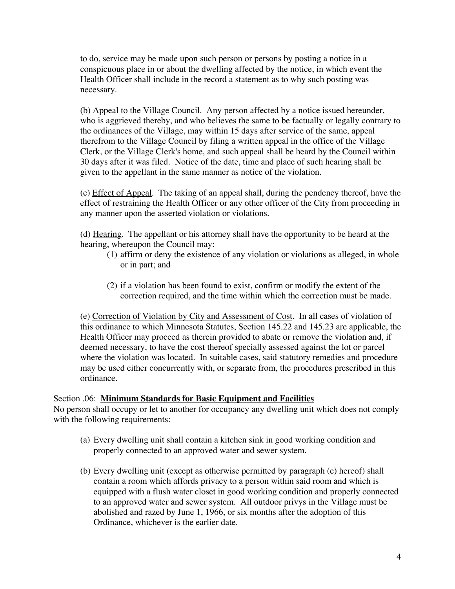to do, service may be made upon such person or persons by posting a notice in a conspicuous place in or about the dwelling affected by the notice, in which event the Health Officer shall include in the record a statement as to why such posting was necessary.

(b) Appeal to the Village Council. Any person affected by a notice issued hereunder, who is aggrieved thereby, and who believes the same to be factually or legally contrary to the ordinances of the Village, may within 15 days after service of the same, appeal therefrom to the Village Council by filing a written appeal in the office of the Village Clerk, or the Village Clerk's home, and such appeal shall be heard by the Council within 30 days after it was filed. Notice of the date, time and place of such hearing shall be given to the appellant in the same manner as notice of the violation.

(c) Effect of Appeal. The taking of an appeal shall, during the pendency thereof, have the effect of restraining the Health Officer or any other officer of the City from proceeding in any manner upon the asserted violation or violations.

(d) Hearing. The appellant or his attorney shall have the opportunity to be heard at the hearing, whereupon the Council may:

- (1) affirm or deny the existence of any violation or violations as alleged, in whole or in part; and
- (2) if a violation has been found to exist, confirm or modify the extent of the correction required, and the time within which the correction must be made.

(e) Correction of Violation by City and Assessment of Cost. In all cases of violation of this ordinance to which Minnesota Statutes, Section 145.22 and 145.23 are applicable, the Health Officer may proceed as therein provided to abate or remove the violation and, if deemed necessary, to have the cost thereof specially assessed against the lot or parcel where the violation was located. In suitable cases, said statutory remedies and procedure may be used either concurrently with, or separate from, the procedures prescribed in this ordinance.

#### Section .06: **Minimum Standards for Basic Equipment and Facilities**

No person shall occupy or let to another for occupancy any dwelling unit which does not comply with the following requirements:

- (a) Every dwelling unit shall contain a kitchen sink in good working condition and properly connected to an approved water and sewer system.
- (b) Every dwelling unit (except as otherwise permitted by paragraph (e) hereof) shall contain a room which affords privacy to a person within said room and which is equipped with a flush water closet in good working condition and properly connected to an approved water and sewer system. All outdoor privys in the Village must be abolished and razed by June 1, 1966, or six months after the adoption of this Ordinance, whichever is the earlier date.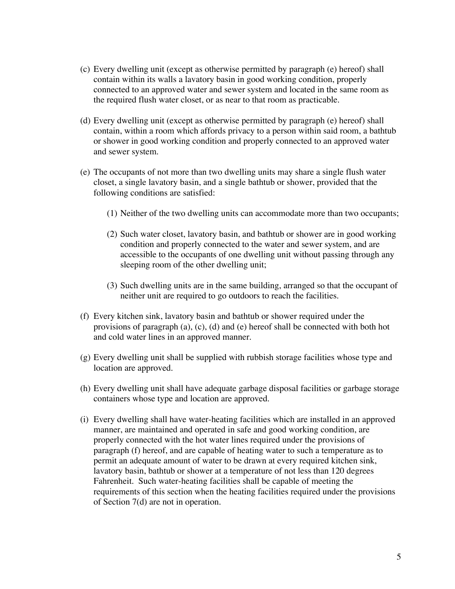- (c) Every dwelling unit (except as otherwise permitted by paragraph (e) hereof) shall contain within its walls a lavatory basin in good working condition, properly connected to an approved water and sewer system and located in the same room as the required flush water closet, or as near to that room as practicable.
- (d) Every dwelling unit (except as otherwise permitted by paragraph (e) hereof) shall contain, within a room which affords privacy to a person within said room, a bathtub or shower in good working condition and properly connected to an approved water and sewer system.
- (e) The occupants of not more than two dwelling units may share a single flush water closet, a single lavatory basin, and a single bathtub or shower, provided that the following conditions are satisfied:
	- (1) Neither of the two dwelling units can accommodate more than two occupants;
	- (2) Such water closet, lavatory basin, and bathtub or shower are in good working condition and properly connected to the water and sewer system, and are accessible to the occupants of one dwelling unit without passing through any sleeping room of the other dwelling unit;
	- (3) Such dwelling units are in the same building, arranged so that the occupant of neither unit are required to go outdoors to reach the facilities.
- (f) Every kitchen sink, lavatory basin and bathtub or shower required under the provisions of paragraph (a), (c), (d) and (e) hereof shall be connected with both hot and cold water lines in an approved manner.
- (g) Every dwelling unit shall be supplied with rubbish storage facilities whose type and location are approved.
- (h) Every dwelling unit shall have adequate garbage disposal facilities or garbage storage containers whose type and location are approved.
- (i) Every dwelling shall have water-heating facilities which are installed in an approved manner, are maintained and operated in safe and good working condition, are properly connected with the hot water lines required under the provisions of paragraph (f) hereof, and are capable of heating water to such a temperature as to permit an adequate amount of water to be drawn at every required kitchen sink, lavatory basin, bathtub or shower at a temperature of not less than 120 degrees Fahrenheit. Such water-heating facilities shall be capable of meeting the requirements of this section when the heating facilities required under the provisions of Section 7(d) are not in operation.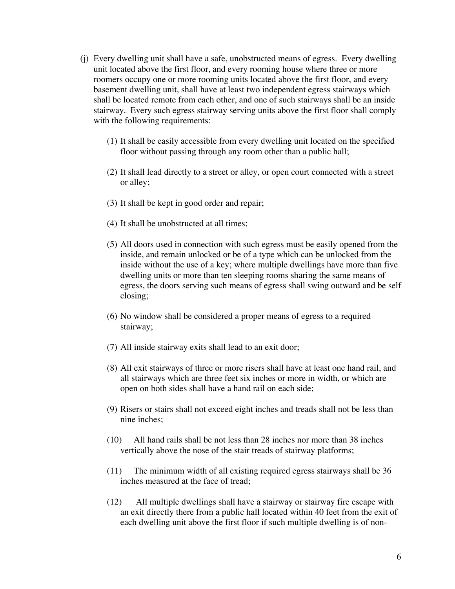- (j) Every dwelling unit shall have a safe, unobstructed means of egress. Every dwelling unit located above the first floor, and every rooming house where three or more roomers occupy one or more rooming units located above the first floor, and every basement dwelling unit, shall have at least two independent egress stairways which shall be located remote from each other, and one of such stairways shall be an inside stairway. Every such egress stairway serving units above the first floor shall comply with the following requirements:
	- (1) It shall be easily accessible from every dwelling unit located on the specified floor without passing through any room other than a public hall;
	- (2) It shall lead directly to a street or alley, or open court connected with a street or alley;
	- (3) It shall be kept in good order and repair;
	- (4) It shall be unobstructed at all times;
	- (5) All doors used in connection with such egress must be easily opened from the inside, and remain unlocked or be of a type which can be unlocked from the inside without the use of a key; where multiple dwellings have more than five dwelling units or more than ten sleeping rooms sharing the same means of egress, the doors serving such means of egress shall swing outward and be self closing;
	- (6) No window shall be considered a proper means of egress to a required stairway;
	- (7) All inside stairway exits shall lead to an exit door;
	- (8) All exit stairways of three or more risers shall have at least one hand rail, and all stairways which are three feet six inches or more in width, or which are open on both sides shall have a hand rail on each side;
	- (9) Risers or stairs shall not exceed eight inches and treads shall not be less than nine inches;
	- (10) All hand rails shall be not less than 28 inches nor more than 38 inches vertically above the nose of the stair treads of stairway platforms;
	- (11) The minimum width of all existing required egress stairways shall be 36 inches measured at the face of tread;
	- (12) All multiple dwellings shall have a stairway or stairway fire escape with an exit directly there from a public hall located within 40 feet from the exit of each dwelling unit above the first floor if such multiple dwelling is of non-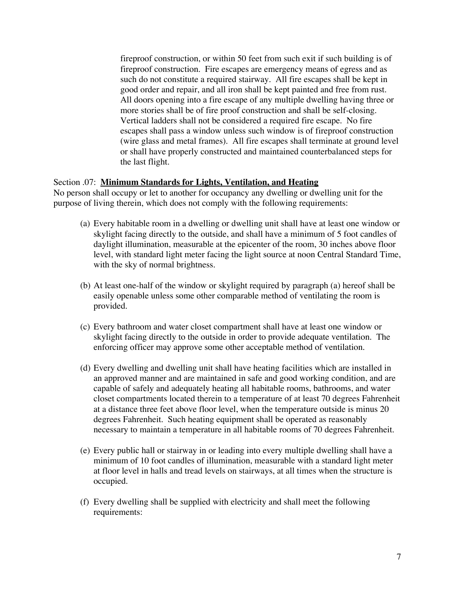fireproof construction, or within 50 feet from such exit if such building is of fireproof construction. Fire escapes are emergency means of egress and as such do not constitute a required stairway. All fire escapes shall be kept in good order and repair, and all iron shall be kept painted and free from rust. All doors opening into a fire escape of any multiple dwelling having three or more stories shall be of fire proof construction and shall be self-closing. Vertical ladders shall not be considered a required fire escape. No fire escapes shall pass a window unless such window is of fireproof construction (wire glass and metal frames). All fire escapes shall terminate at ground level or shall have properly constructed and maintained counterbalanced steps for the last flight.

#### Section .07: **Minimum Standards for Lights, Ventilation, and Heating**

No person shall occupy or let to another for occupancy any dwelling or dwelling unit for the purpose of living therein, which does not comply with the following requirements:

- (a) Every habitable room in a dwelling or dwelling unit shall have at least one window or skylight facing directly to the outside, and shall have a minimum of 5 foot candles of daylight illumination, measurable at the epicenter of the room, 30 inches above floor level, with standard light meter facing the light source at noon Central Standard Time, with the sky of normal brightness.
- (b) At least one-half of the window or skylight required by paragraph (a) hereof shall be easily openable unless some other comparable method of ventilating the room is provided.
- (c) Every bathroom and water closet compartment shall have at least one window or skylight facing directly to the outside in order to provide adequate ventilation. The enforcing officer may approve some other acceptable method of ventilation.
- (d) Every dwelling and dwelling unit shall have heating facilities which are installed in an approved manner and are maintained in safe and good working condition, and are capable of safely and adequately heating all habitable rooms, bathrooms, and water closet compartments located therein to a temperature of at least 70 degrees Fahrenheit at a distance three feet above floor level, when the temperature outside is minus 20 degrees Fahrenheit. Such heating equipment shall be operated as reasonably necessary to maintain a temperature in all habitable rooms of 70 degrees Fahrenheit.
- (e) Every public hall or stairway in or leading into every multiple dwelling shall have a minimum of 10 foot candles of illumination, measurable with a standard light meter at floor level in halls and tread levels on stairways, at all times when the structure is occupied.
- (f) Every dwelling shall be supplied with electricity and shall meet the following requirements: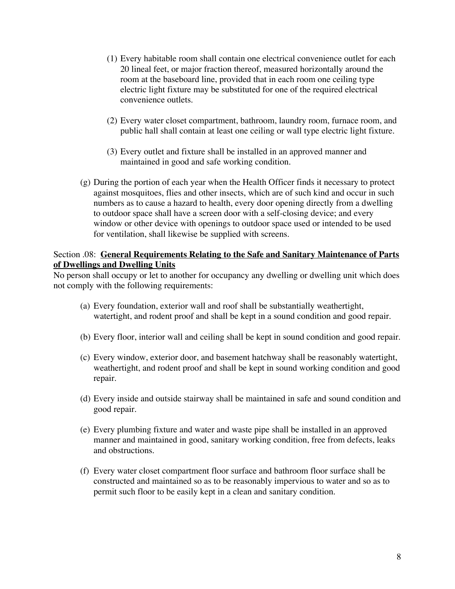- (1) Every habitable room shall contain one electrical convenience outlet for each 20 lineal feet, or major fraction thereof, measured horizontally around the room at the baseboard line, provided that in each room one ceiling type electric light fixture may be substituted for one of the required electrical convenience outlets.
- (2) Every water closet compartment, bathroom, laundry room, furnace room, and public hall shall contain at least one ceiling or wall type electric light fixture.
- (3) Every outlet and fixture shall be installed in an approved manner and maintained in good and safe working condition.
- (g) During the portion of each year when the Health Officer finds it necessary to protect against mosquitoes, flies and other insects, which are of such kind and occur in such numbers as to cause a hazard to health, every door opening directly from a dwelling to outdoor space shall have a screen door with a self-closing device; and every window or other device with openings to outdoor space used or intended to be used for ventilation, shall likewise be supplied with screens.

## Section .08: **General Requirements Relating to the Safe and Sanitary Maintenance of Parts of Dwellings and Dwelling Units**

No person shall occupy or let to another for occupancy any dwelling or dwelling unit which does not comply with the following requirements:

- (a) Every foundation, exterior wall and roof shall be substantially weathertight, watertight, and rodent proof and shall be kept in a sound condition and good repair.
- (b) Every floor, interior wall and ceiling shall be kept in sound condition and good repair.
- (c) Every window, exterior door, and basement hatchway shall be reasonably watertight, weathertight, and rodent proof and shall be kept in sound working condition and good repair.
- (d) Every inside and outside stairway shall be maintained in safe and sound condition and good repair.
- (e) Every plumbing fixture and water and waste pipe shall be installed in an approved manner and maintained in good, sanitary working condition, free from defects, leaks and obstructions.
- (f) Every water closet compartment floor surface and bathroom floor surface shall be constructed and maintained so as to be reasonably impervious to water and so as to permit such floor to be easily kept in a clean and sanitary condition.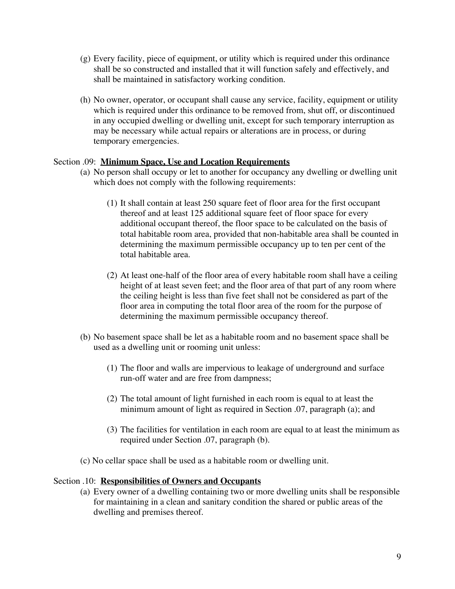- (g) Every facility, piece of equipment, or utility which is required under this ordinance shall be so constructed and installed that it will function safely and effectively, and shall be maintained in satisfactory working condition.
- (h) No owner, operator, or occupant shall cause any service, facility, equipment or utility which is required under this ordinance to be removed from, shut off, or discontinued in any occupied dwelling or dwelling unit, except for such temporary interruption as may be necessary while actual repairs or alterations are in process, or during temporary emergencies.

### Section .09: **Minimum Space, Use and Location Requirements**

- (a) No person shall occupy or let to another for occupancy any dwelling or dwelling unit which does not comply with the following requirements:
	- (1) It shall contain at least 250 square feet of floor area for the first occupant thereof and at least 125 additional square feet of floor space for every additional occupant thereof, the floor space to be calculated on the basis of total habitable room area, provided that non-habitable area shall be counted in determining the maximum permissible occupancy up to ten per cent of the total habitable area.
	- (2) At least one-half of the floor area of every habitable room shall have a ceiling height of at least seven feet; and the floor area of that part of any room where the ceiling height is less than five feet shall not be considered as part of the floor area in computing the total floor area of the room for the purpose of determining the maximum permissible occupancy thereof.
- (b) No basement space shall be let as a habitable room and no basement space shall be used as a dwelling unit or rooming unit unless:
	- (1) The floor and walls are impervious to leakage of underground and surface run-off water and are free from dampness;
	- (2) The total amount of light furnished in each room is equal to at least the minimum amount of light as required in Section .07, paragraph (a); and
	- (3) The facilities for ventilation in each room are equal to at least the minimum as required under Section .07, paragraph (b).
- (c) No cellar space shall be used as a habitable room or dwelling unit.

#### Section .10: **Responsibilities of Owners and Occupants**

(a) Every owner of a dwelling containing two or more dwelling units shall be responsible for maintaining in a clean and sanitary condition the shared or public areas of the dwelling and premises thereof.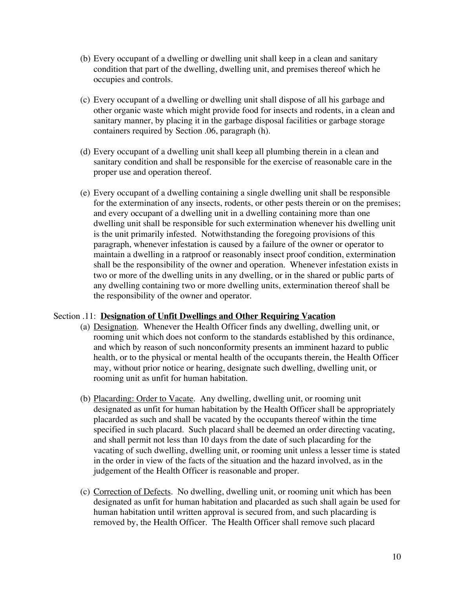- (b) Every occupant of a dwelling or dwelling unit shall keep in a clean and sanitary condition that part of the dwelling, dwelling unit, and premises thereof which he occupies and controls.
- (c) Every occupant of a dwelling or dwelling unit shall dispose of all his garbage and other organic waste which might provide food for insects and rodents, in a clean and sanitary manner, by placing it in the garbage disposal facilities or garbage storage containers required by Section .06, paragraph (h).
- (d) Every occupant of a dwelling unit shall keep all plumbing therein in a clean and sanitary condition and shall be responsible for the exercise of reasonable care in the proper use and operation thereof.
- (e) Every occupant of a dwelling containing a single dwelling unit shall be responsible for the extermination of any insects, rodents, or other pests therein or on the premises; and every occupant of a dwelling unit in a dwelling containing more than one dwelling unit shall be responsible for such extermination whenever his dwelling unit is the unit primarily infested. Notwithstanding the foregoing provisions of this paragraph, whenever infestation is caused by a failure of the owner or operator to maintain a dwelling in a ratproof or reasonably insect proof condition, extermination shall be the responsibility of the owner and operation. Whenever infestation exists in two or more of the dwelling units in any dwelling, or in the shared or public parts of any dwelling containing two or more dwelling units, extermination thereof shall be the responsibility of the owner and operator.

#### Section .11: **Designation of Unfit Dwellings and Other Requiring Vacation**

- (a) Designation. Whenever the Health Officer finds any dwelling, dwelling unit, or rooming unit which does not conform to the standards established by this ordinance, and which by reason of such nonconformity presents an imminent hazard to public health, or to the physical or mental health of the occupants therein, the Health Officer may, without prior notice or hearing, designate such dwelling, dwelling unit, or rooming unit as unfit for human habitation.
- (b) Placarding: Order to Vacate. Any dwelling, dwelling unit, or rooming unit designated as unfit for human habitation by the Health Officer shall be appropriately placarded as such and shall be vacated by the occupants thereof within the time specified in such placard. Such placard shall be deemed an order directing vacating, and shall permit not less than 10 days from the date of such placarding for the vacating of such dwelling, dwelling unit, or rooming unit unless a lesser time is stated in the order in view of the facts of the situation and the hazard involved, as in the judgement of the Health Officer is reasonable and proper.
- (c) Correction of Defects. No dwelling, dwelling unit, or rooming unit which has been designated as unfit for human habitation and placarded as such shall again be used for human habitation until written approval is secured from, and such placarding is removed by, the Health Officer. The Health Officer shall remove such placard